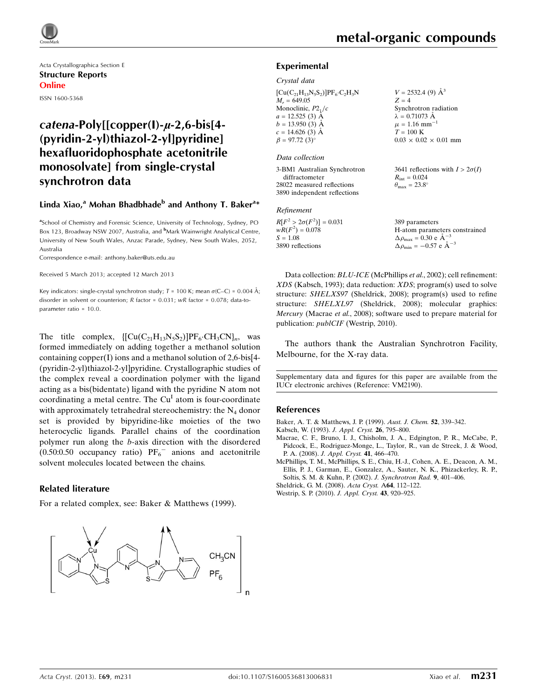

Acta Crystallographica Section E Structure Reports Online ISSN 1600-5368

# $catena-Poly[[copper(1)-*µ*-2,6-bis[4-$ (pyridin-2-yl)thiazol-2-yl]pyridine] hexafluoridophosphate acetonitrile monosolvate] from single-crystal synchrotron data

## Linda Xiao,<sup>a</sup> Mohan Bhadbhade<sup>b</sup> and Anthony T. Baker<sup>a</sup>\*

<sup>a</sup>School of Chemistry and Forensic Science, University of Technology, Sydney, PO Box 123, Broadway NSW 2007, Australia, and <sup>b</sup>Mark Wainwright Analytical Centre, University of New South Wales, Anzac Parade, Sydney, New South Wales, 2052, Australia

Correspondence e-mail: [anthony.baker@uts.edu.au](https://scripts.iucr.org/cgi-bin/cr.cgi?rm=pdfbb&cnor=vm2190&bbid=BB6)

Received 5 March 2013; accepted 12 March 2013

Key indicators: single-crystal synchrotron study; T = 100 K; mean  $\sigma$ (C–C) = 0.004 Å; disorder in solvent or counterion; R factor = 0.031; wR factor = 0.078; data-toparameter ratio = 10.0.

The title complex,  $\left\{ \left[ Cu(C_{21}H_{13}N_5S_2) \right] PF_6 \cdot CH_3CN \right\}$ , was formed immediately on adding together a methanol solution containing copper(I) ions and a methanol solution of 2,6-bis[4- (pyridin-2-yl)thiazol-2-yl]pyridine. Crystallographic studies of the complex reveal a coordination polymer with the ligand acting as a bis(bidentate) ligand with the pyridine N atom not coordinating a metal centre. The  $Cu<sup>T</sup>$  atom is four-coordinate with approximately tetrahedral stereochemistry: the  $N_4$  donor set is provided by bipyridine-like moieties of the two heterocyclic ligands. Parallel chains of the coordination polymer run along the b-axis direction with the disordered  $(0.50:0.50$  occupancy ratio)  $PF_6^-$  anions and acetonitrile solvent molecules located between the chains.

#### Related literature

For a related complex, see: Baker & Matthews (1999).



#### Experimental

#### Crystal data

| $[Cu(C_{21}H_{13}N_5S_2)]PF_6 \cdot C_2H_3N$<br>$M_r = 649.05$<br>Monoclinic, $P2_1/c$<br>$a = 12.525$ (3) $\AA$<br>$b = 13.950(3)$ Å | $V = 2532.4$ (9) $\AA^3$<br>$Z = 4$<br>Synchrotron radiation<br>$\lambda = 0.71073$ Å<br>$\mu = 1.16$ mm <sup>-1</sup> |
|---------------------------------------------------------------------------------------------------------------------------------------|------------------------------------------------------------------------------------------------------------------------|
| $c = 14.626$ (3) Å<br>$\beta = 97.72(3)$ °<br>Data collection                                                                         | $T = 100$ K<br>$0.03 \times 0.02 \times 0.01$ mm                                                                       |
| 3-BM1 Australian Synchrotron<br>diffractometer<br>28022 measured reflections<br>3890 independent reflections                          | 3641 reflections with $I > 2\sigma(I)$<br>$R_{\rm int} = 0.024$<br>$\theta_{\rm max} = 23.8^{\circ}$                   |

#### Refinement

| $R[F^2 > 2\sigma(F^2)] = 0.031$ | 389 parameters                                     |
|---------------------------------|----------------------------------------------------|
| $wR(F^2) = 0.078$               | H-atom parameters constrained                      |
| $S = 1.08$                      | $\Delta \rho_{\text{max}} = 0.30 \text{ e A}^{-3}$ |
| 3890 reflections                | $\Delta \rho_{\text{min}} = -0.57$ e $\AA^{-3}$    |

Data collection: *BLU-ICE* (McPhillips et al., 2002); cell refinement: XDS (Kabsch, 1993); data reduction: XDS; program(s) used to solve structure: SHELXS97 (Sheldrick, 2008); program(s) used to refine structure: SHELXL97 (Sheldrick, 2008); molecular graphics: Mercury (Macrae et al., 2008); software used to prepare material for publication: publCIF (Westrip, 2010).

The authors thank the Australian Synchrotron Facility, Melbourne, for the X-ray data.

Supplementary data and figures for this paper are available from the IUCr electronic archives (Reference: VM2190).

#### References

[Baker, A. T. & Matthews, J. P. \(1999\).](https://scripts.iucr.org/cgi-bin/cr.cgi?rm=pdfbb&cnor=vm2190&bbid=BB1) Aust. J. Chem. 52, 339–342.

- [Kabsch, W. \(1993\).](https://scripts.iucr.org/cgi-bin/cr.cgi?rm=pdfbb&cnor=vm2190&bbid=BB2) J. Appl. Cryst. 26, 795–800.
- [Macrae, C. F., Bruno, I. J., Chisholm, J. A., Edgington, P. R., McCabe, P.,](https://scripts.iucr.org/cgi-bin/cr.cgi?rm=pdfbb&cnor=vm2190&bbid=BB3) [Pidcock, E., Rodriguez-Monge, L., Taylor, R., van de Streek, J. & Wood,](https://scripts.iucr.org/cgi-bin/cr.cgi?rm=pdfbb&cnor=vm2190&bbid=BB3) P. A. (2008). [J. Appl. Cryst.](https://scripts.iucr.org/cgi-bin/cr.cgi?rm=pdfbb&cnor=vm2190&bbid=BB3) 41, 466-470.
- [McPhillips, T. M., McPhillips, S. E., Chiu, H.-J., Cohen, A. E., Deacon, A. M.,](https://scripts.iucr.org/cgi-bin/cr.cgi?rm=pdfbb&cnor=vm2190&bbid=BB4) [Ellis, P. J., Garman, E., Gonzalez, A., Sauter, N. K., Phizackerley, R. P.,](https://scripts.iucr.org/cgi-bin/cr.cgi?rm=pdfbb&cnor=vm2190&bbid=BB4) [Soltis, S. M. & Kuhn, P. \(2002\).](https://scripts.iucr.org/cgi-bin/cr.cgi?rm=pdfbb&cnor=vm2190&bbid=BB4) J. Synchrotron Rad. 9, 401–406.
- [Sheldrick, G. M. \(2008\).](https://scripts.iucr.org/cgi-bin/cr.cgi?rm=pdfbb&cnor=vm2190&bbid=BB5) Acta Cryst. A64, 112–122.
- [Westrip, S. P. \(2010\).](https://scripts.iucr.org/cgi-bin/cr.cgi?rm=pdfbb&cnor=vm2190&bbid=BB6) J. Appl. Cryst. 43, 920–925.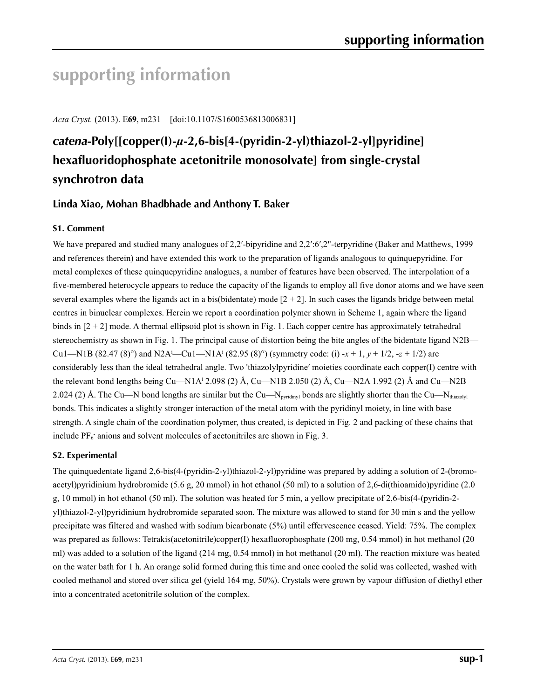# **supporting information**

*Acta Cryst.* (2013). E**69**, m231 [doi:10.1107/S1600536813006831]

# *catena***-Poly[[copper(I)-***µ***-2,6-bis[4-(pyridin-2-yl)thiazol-2-yl]pyridine] hexafluoridophosphate acetonitrile monosolvate] from single-crystal synchrotron data**

# **Linda Xiao, Mohan Bhadbhade and Anthony T. Baker**

# **S1. Comment**

We have prepared and studied many analogues of 2,2'-bipyridine and 2,2':6',2"-terpyridine (Baker and Matthews, 1999) and references therein) and have extended this work to the preparation of ligands analogous to quinquepyridine. For metal complexes of these quinquepyridine analogues, a number of features have been observed. The interpolation of a five-membered heterocycle appears to reduce the capacity of the ligands to employ all five donor atoms and we have seen several examples where the ligands act in a bis(bidentate) mode  $[2 + 2]$ . In such cases the ligands bridge between metal centres in binuclear complexes. Herein we report a coordination polymer shown in Scheme 1, again where the ligand binds in  $[2 + 2]$  mode. A thermal ellipsoid plot is shown in Fig. 1. Each copper centre has approximately tetrahedral stereochemistry as shown in Fig. 1. The principal cause of distortion being the bite angles of the bidentate ligand N2B— Cu1—N1B (82.47 (8)°) and N2A<sup>i</sup>—Cu1—N1A<sup>i</sup> (82.95 (8)°) (symmetry code: (i) -*x* + 1, *y* + 1/2, -*z* + 1/2) are considerably less than the ideal tetrahedral angle. Two 'thiazolylpyridine′ moieties coordinate each copper(I) centre with the relevant bond lengths being Cu—N1Ai 2.098 (2) Å, Cu—N1B 2.050 (2) Å, Cu—N2A 1.992 (2) Å and Cu—N2B 2.024 (2) Å. The Cu—N bond lengths are similar but the Cu—N<sub>pyridinyl</sub> bonds are slightly shorter than the Cu—N<sub>thiazolyl</sub> bonds. This indicates a slightly stronger interaction of the metal atom with the pyridinyl moiety, in line with base strength. A single chain of the coordination polymer, thus created, is depicted in Fig. 2 and packing of these chains that include  $PF_6$  anions and solvent molecules of acetonitriles are shown in Fig. 3.

### **S2. Experimental**

The quinquedentate ligand 2,6-bis(4-(pyridin-2-yl)thiazol-2-yl)pyridine was prepared by adding a solution of 2-(bromoacetyl)pyridinium hydrobromide (5.6 g, 20 mmol) in hot ethanol (50 ml) to a solution of 2,6-di(thioamido)pyridine (2.0 g, 10 mmol) in hot ethanol (50 ml). The solution was heated for 5 min, a yellow precipitate of 2,6-bis(4-(pyridin-2 yl)thiazol-2-yl)pyridinium hydrobromide separated soon. The mixture was allowed to stand for 30 min s and the yellow precipitate was filtered and washed with sodium bicarbonate (5%) until effervescence ceased. Yield: 75%. The complex was prepared as follows: Tetrakis(acetonitrile)copper(I) hexafluorophosphate (200 mg, 0.54 mmol) in hot methanol (20 ml) was added to a solution of the ligand (214 mg, 0.54 mmol) in hot methanol (20 ml). The reaction mixture was heated on the water bath for 1 h. An orange solid formed during this time and once cooled the solid was collected, washed with cooled methanol and stored over silica gel (yield 164 mg, 50%). Crystals were grown by vapour diffusion of diethyl ether into a concentrated acetonitrile solution of the complex.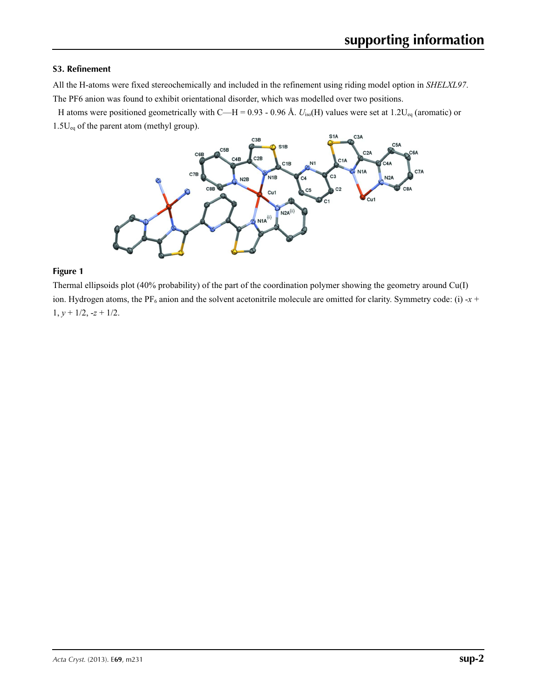### **S3. Refinement**

All the H-atoms were fixed stereochemically and included in the refinement using riding model option in *SHELXL97*. The PF6 anion was found to exhibit orientational disorder, which was modelled over two positions.

H atoms were positioned geometrically with C—H = 0.93 - 0.96 Å.  $U_{\text{iso}}(H)$  values were set at 1.2U<sub>eq</sub> (aromatic) or 1.5U<sub>eq</sub> of the parent atom (methyl group).



#### **Figure 1**

Thermal ellipsoids plot (40% probability) of the part of the coordination polymer showing the geometry around Cu(I) ion. Hydrogen atoms, the PF<sub>6</sub> anion and the solvent acetonitrile molecule are omitted for clarity. Symmetry code: (i) -*x* + 1,  $y + \frac{1}{2}$ ,  $-z + \frac{1}{2}$ .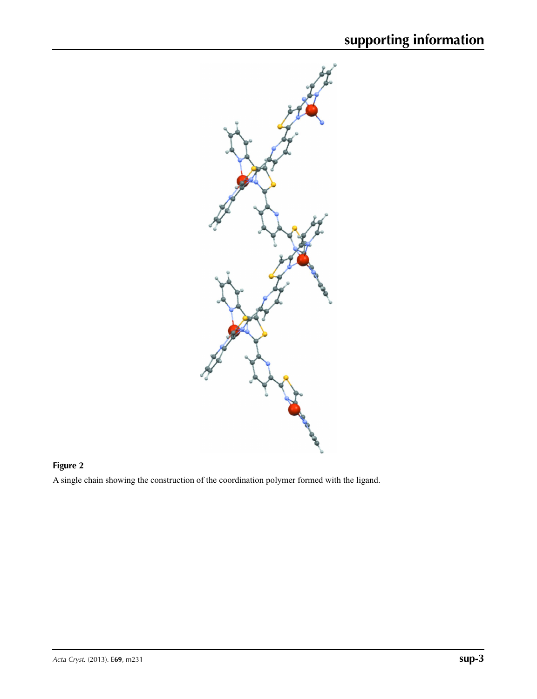

# **Figure 2**

A single chain showing the construction of the coordination polymer formed with the ligand.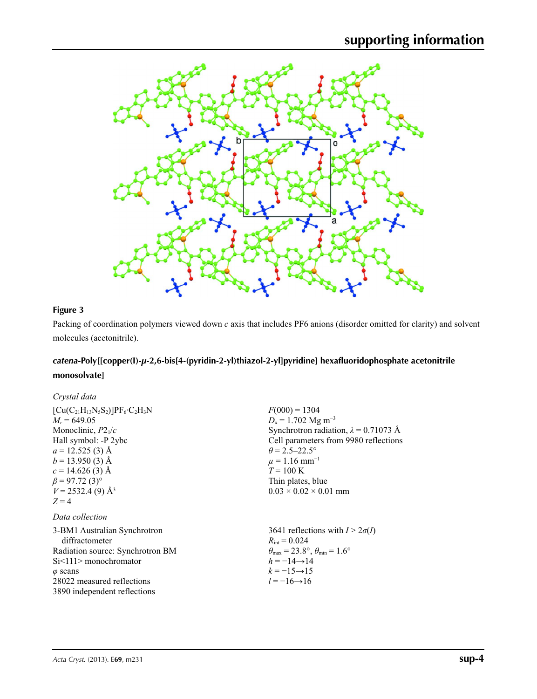

# **Figure 3**

Packing of coordination polymers viewed down *c* axis that includes PF6 anions (disorder omitted for clarity) and solvent molecules (acetonitrile).

# *catena***-Poly[[copper(I)-***µ***-2,6-bis[4-(pyridin-2-yl)thiazol-2-yl]pyridine] hexafluoridophosphate acetonitrile monosolvate]**

| Crystal data                                                                                                                                                                                                                                            |                                                                                                                                                                                                                                                                                        |
|---------------------------------------------------------------------------------------------------------------------------------------------------------------------------------------------------------------------------------------------------------|----------------------------------------------------------------------------------------------------------------------------------------------------------------------------------------------------------------------------------------------------------------------------------------|
| $[Cu(C_{21}H_{13}N_5S_2)]PF_6:C_2H_3N$<br>$M_r = 649.05$<br>Monoclinic, $P2_1/c$<br>Hall symbol: -P 2ybc<br>$a = 12.525(3)$ Å<br>$b = 13.950(3)$ Å<br>$c = 14.626(3)$ Å<br>$\beta$ = 97.72 (3) <sup>o</sup><br>$V = 2532.4$ (9) Å <sup>3</sup><br>$Z=4$ | $F(000) = 1304$<br>$D_x = 1.702$ Mg m <sup>-3</sup><br>Synchrotron radiation, $\lambda = 0.71073$ Å<br>Cell parameters from 9980 reflections<br>$\theta$ = 2.5–22.5°<br>$\mu = 1.16$ mm <sup>-1</sup><br>$T = 100 \text{ K}$<br>Thin plates, blue<br>$0.03 \times 0.02 \times 0.01$ mm |
| Data collection                                                                                                                                                                                                                                         |                                                                                                                                                                                                                                                                                        |
| 3-BM1 Australian Synchrotron<br>diffractometer<br>Radiation source: Synchrotron BM<br>$Si < 11$ > monochromator<br>$\varphi$ scans<br>28022 measured reflections<br>3890 independent reflections                                                        | 3641 reflections with $I > 2\sigma(I)$<br>$R_{\rm int} = 0.024$<br>$\theta_{\text{max}} = 23.8^{\circ}$ , $\theta_{\text{min}} = 1.6^{\circ}$<br>$h = -14 \rightarrow 14$<br>$k = -15 \rightarrow 15$<br>$l = -16 \rightarrow 16$                                                      |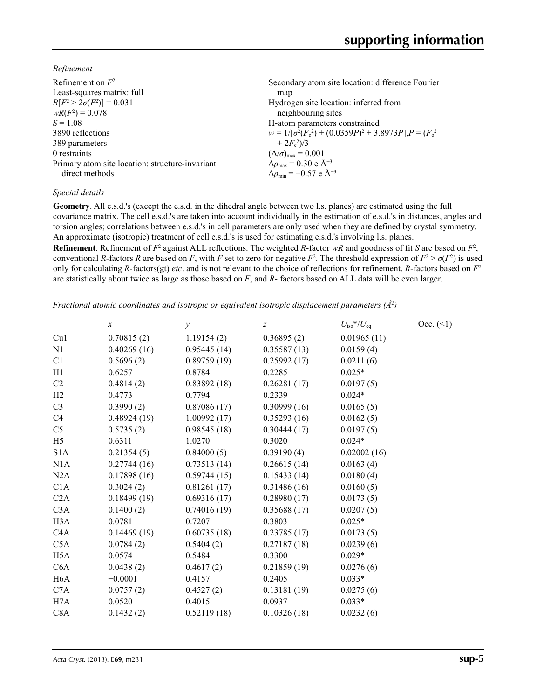*Refinement*

| Refinement on $F^2$                             | Secondary atom site location: difference Fourier                  |
|-------------------------------------------------|-------------------------------------------------------------------|
| Least-squares matrix: full                      | map                                                               |
| $R[F^2 > 2\sigma(F^2)] = 0.031$                 | Hydrogen site location: inferred from                             |
| $wR(F^2) = 0.078$                               | neighbouring sites                                                |
| $S = 1.08$                                      | H-atom parameters constrained                                     |
| 3890 reflections                                | $w = 1/[\sigma^2(F_0^2) + (0.0359P)^2 + 3.8973P]$ , $P = (F_0^2)$ |
| 389 parameters                                  | $+2F_c^2/3$                                                       |
| 0 restraints                                    | $(\Delta/\sigma)_{\text{max}} = 0.001$                            |
| Primary atom site location: structure-invariant | $\Delta\rho_{\text{max}}$ = 0.30 e Å <sup>-3</sup>                |
| direct methods                                  | $\Delta\rho_{\rm min} = -0.57$ e Å <sup>-3</sup>                  |
|                                                 |                                                                   |

### *Special details*

**Geometry**. All e.s.d.'s (except the e.s.d. in the dihedral angle between two l.s. planes) are estimated using the full covariance matrix. The cell e.s.d.'s are taken into account individually in the estimation of e.s.d.'s in distances, angles and torsion angles; correlations between e.s.d.'s in cell parameters are only used when they are defined by crystal symmetry. An approximate (isotropic) treatment of cell e.s.d.'s is used for estimating e.s.d.'s involving l.s. planes.

**Refinement**. Refinement of  $F^2$  against ALL reflections. The weighted *R*-factor  $wR$  and goodness of fit *S* are based on  $F^2$ , conventional *R*-factors *R* are based on *F*, with *F* set to zero for negative *F*<sup>2</sup>. The threshold expression of  $F^2 > \sigma(F^2)$  is used only for calculating *R*-factors(gt) *etc*. and is not relevant to the choice of reflections for refinement. *R*-factors based on *F*<sup>2</sup> are statistically about twice as large as those based on *F*, and *R*- factors based on ALL data will be even larger.

*Fractional atomic coordinates and isotropic or equivalent isotropic displacement parameters (Å2 )*

|                  | $\boldsymbol{x}$ | $\mathcal{Y}$ | z           | $U_{\rm iso}*/U_{\rm eq}$ | Occ. (2) |
|------------------|------------------|---------------|-------------|---------------------------|----------|
| Cu1              | 0.70815(2)       | 1.19154(2)    | 0.36895(2)  | 0.01965(11)               |          |
| N <sub>1</sub>   | 0.40269(16)      | 0.95445(14)   | 0.35587(13) | 0.0159(4)                 |          |
| C1               | 0.5696(2)        | 0.89759(19)   | 0.25992(17) | 0.0211(6)                 |          |
| H1               | 0.6257           | 0.8784        | 0.2285      | $0.025*$                  |          |
| C <sub>2</sub>   | 0.4814(2)        | 0.83892(18)   | 0.26281(17) | 0.0197(5)                 |          |
| H <sub>2</sub>   | 0.4773           | 0.7794        | 0.2339      | $0.024*$                  |          |
| C <sub>3</sub>   | 0.3990(2)        | 0.87086(17)   | 0.30999(16) | 0.0165(5)                 |          |
| C4               | 0.48924(19)      | 1.00992(17)   | 0.35293(16) | 0.0162(5)                 |          |
| C <sub>5</sub>   | 0.5735(2)        | 0.98545(18)   | 0.30444(17) | 0.0197(5)                 |          |
| H <sub>5</sub>   | 0.6311           | 1.0270        | 0.3020      | $0.024*$                  |          |
| S <sub>1</sub> A | 0.21354(5)       | 0.84000(5)    | 0.39190(4)  | 0.02002(16)               |          |
| N1A              | 0.27744(16)      | 0.73513(14)   | 0.26615(14) | 0.0163(4)                 |          |
| N2A              | 0.17898(16)      | 0.59744(15)   | 0.15433(14) | 0.0180(4)                 |          |
| C1A              | 0.3024(2)        | 0.81261(17)   | 0.31486(16) | 0.0160(5)                 |          |
| C2A              | 0.18499(19)      | 0.69316(17)   | 0.28980(17) | 0.0173(5)                 |          |
| C3A              | 0.1400(2)        | 0.74016(19)   | 0.35688(17) | 0.0207(5)                 |          |
| H <sub>3</sub> A | 0.0781           | 0.7207        | 0.3803      | $0.025*$                  |          |
| C4A              | 0.14469(19)      | 0.60735(18)   | 0.23785(17) | 0.0173(5)                 |          |
| C5A              | 0.0784(2)        | 0.5404(2)     | 0.27187(18) | 0.0239(6)                 |          |
| H <sub>5</sub> A | 0.0574           | 0.5484        | 0.3300      | $0.029*$                  |          |
| C <sub>6</sub> A | 0.0438(2)        | 0.4617(2)     | 0.21859(19) | 0.0276(6)                 |          |
| H <sub>6</sub> A | $-0.0001$        | 0.4157        | 0.2405      | $0.033*$                  |          |
| C7A              | 0.0757(2)        | 0.4527(2)     | 0.13181(19) | 0.0275(6)                 |          |
| H7A              | 0.0520           | 0.4015        | 0.0937      | $0.033*$                  |          |
| C8A              | 0.1432(2)        | 0.52119(18)   | 0.10326(18) | 0.0232(6)                 |          |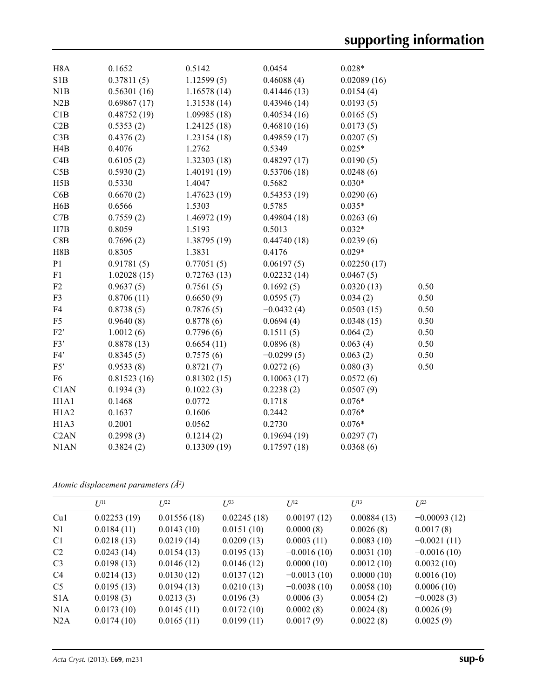| H <sub>8</sub> A              | 0.1652      | 0.5142       | 0.0454       | $0.028*$    |      |
|-------------------------------|-------------|--------------|--------------|-------------|------|
| S1B                           | 0.37811(5)  | 1.12599(5)   | 0.46088(4)   | 0.02089(16) |      |
| N1B                           | 0.56301(16) | 1.16578(14)  | 0.41446(13)  | 0.0154(4)   |      |
| N2B                           | 0.69867(17) | 1.31538(14)  | 0.43946(14)  | 0.0193(5)   |      |
| C1B                           | 0.48752(19) | 1.09985(18)  | 0.40534(16)  | 0.0165(5)   |      |
| C2B                           | 0.5353(2)   | 1.24125(18)  | 0.46810(16)  | 0.0173(5)   |      |
| C3B                           | 0.4376(2)   | 1.23154(18)  | 0.49859(17)  | 0.0207(5)   |      |
| H4B                           | 0.4076      | 1.2762       | 0.5349       | $0.025*$    |      |
| C4B                           | 0.6105(2)   | 1.32303(18)  | 0.48297(17)  | 0.0190(5)   |      |
| C5B                           | 0.5930(2)   | 1.40191 (19) | 0.53706(18)  | 0.0248(6)   |      |
| H5B                           | 0.5330      | 1.4047       | 0.5682       | $0.030*$    |      |
| C6B                           | 0.6670(2)   | 1.47623 (19) | 0.54353(19)  | 0.0290(6)   |      |
| H6B                           | 0.6566      | 1.5303       | 0.5785       | $0.035*$    |      |
| C7B                           | 0.7559(2)   | 1.46972 (19) | 0.49804(18)  | 0.0263(6)   |      |
| H7B                           | 0.8059      | 1.5193       | 0.5013       | $0.032*$    |      |
| C8B                           | 0.7696(2)   | 1.38795 (19) | 0.44740(18)  | 0.0239(6)   |      |
| H8B                           | 0.8305      | 1.3831       | 0.4176       | $0.029*$    |      |
| P <sub>1</sub>                | 0.91781(5)  | 0.77051(5)   | 0.06197(5)   | 0.02250(17) |      |
| F1                            | 1.02028(15) | 0.72763(13)  | 0.02232(14)  | 0.0467(5)   |      |
| F2                            | 0.9637(5)   | 0.7561(5)    | 0.1692(5)    | 0.0320(13)  | 0.50 |
| F3                            | 0.8706(11)  | 0.6650(9)    | 0.0595(7)    | 0.034(2)    | 0.50 |
| F4                            | 0.8738(5)   | 0.7876(5)    | $-0.0432(4)$ | 0.0503(15)  | 0.50 |
| F <sub>5</sub>                | 0.9640(8)   | 0.8778(6)    | 0.0694(4)    | 0.0348(15)  | 0.50 |
| F2'                           | 1.0012(6)   | 0.7796(6)    | 0.1511(5)    | 0.064(2)    | 0.50 |
| F3'                           | 0.8878(13)  | 0.6654(11)   | 0.0896(8)    | 0.063(4)    | 0.50 |
| F4'                           | 0.8345(5)   | 0.7575(6)    | $-0.0299(5)$ | 0.063(2)    | 0.50 |
| F5'                           | 0.9533(8)   | 0.8721(7)    | 0.0272(6)    | 0.080(3)    | 0.50 |
| F <sub>6</sub>                | 0.81523(16) | 0.81302(15)  | 0.10063(17)  | 0.0572(6)   |      |
| C1AN                          | 0.1934(3)   | 0.1022(3)    | 0.2238(2)    | 0.0507(9)   |      |
| H <sub>1</sub> A <sub>1</sub> | 0.1468      | 0.0772       | 0.1718       | $0.076*$    |      |
| H1A2                          | 0.1637      | 0.1606       | 0.2442       | $0.076*$    |      |
| H <sub>1</sub> A <sub>3</sub> | 0.2001      | 0.0562       | 0.2730       | $0.076*$    |      |
| C <sub>2</sub> AN             | 0.2998(3)   | 0.1214(2)    | 0.19694(19)  | 0.0297(7)   |      |
| N1AN                          | 0.3824(2)   | 0.13309(19)  | 0.17597(18)  | 0.0368(6)   |      |
|                               |             |              |              |             |      |

*Atomic displacement parameters (Å2 )*

|                | $U^{11}$    | $L^{22}$    | $U^{33}$    | $U^{12}$      | $U^{13}$    | $L^{23}$       |
|----------------|-------------|-------------|-------------|---------------|-------------|----------------|
| Cu1            | 0.02253(19) | 0.01556(18) | 0.02245(18) | 0.00197(12)   | 0.00884(13) | $-0.00093(12)$ |
| N1             | 0.0184(11)  | 0.0143(10)  | 0.0151(10)  | 0.0000(8)     | 0.0026(8)   | 0.0017(8)      |
| C <sub>1</sub> | 0.0218(13)  | 0.0219(14)  | 0.0209(13)  | 0.0003(11)    | 0.0083(10)  | $-0.0021(11)$  |
| C <sub>2</sub> | 0.0243(14)  | 0.0154(13)  | 0.0195(13)  | $-0.0016(10)$ | 0.0031(10)  | $-0.0016(10)$  |
| C <sub>3</sub> | 0.0198(13)  | 0.0146(12)  | 0.0146(12)  | 0.0000(10)    | 0.0012(10)  | 0.0032(10)     |
| C <sub>4</sub> | 0.0214(13)  | 0.0130(12)  | 0.0137(12)  | $-0.0013(10)$ | 0.0000(10)  | 0.0016(10)     |
| C <sub>5</sub> | 0.0195(13)  | 0.0194(13)  | 0.0210(13)  | $-0.0038(10)$ | 0.0058(10)  | 0.0006(10)     |
| S1A            | 0.0198(3)   | 0.0213(3)   | 0.0196(3)   | 0.0006(3)     | 0.0054(2)   | $-0.0028(3)$   |
| N1A            | 0.0173(10)  | 0.0145(11)  | 0.0172(10)  | 0.0002(8)     | 0.0024(8)   | 0.0026(9)      |
| N2A            | 0.0174(10)  | 0.0165(11)  | 0.0199(11)  | 0.0017(9)     | 0.0022(8)   | 0.0025(9)      |
|                |             |             |             |               |             |                |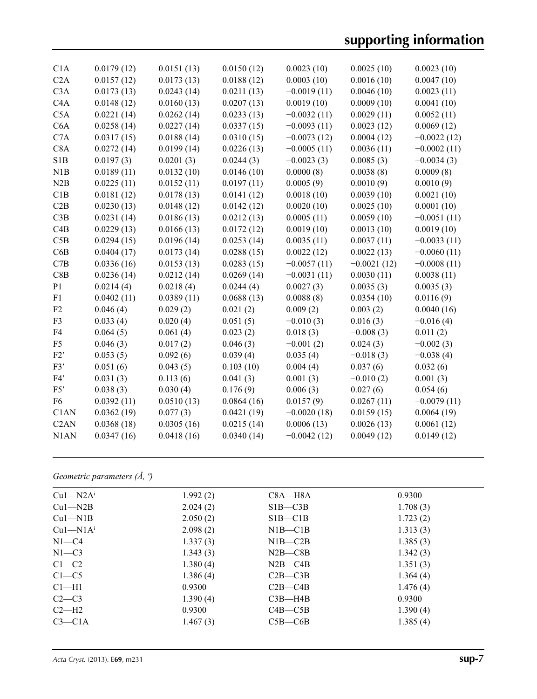# **supporting information**

| C <sub>1</sub> A  | 0.0179(12) | 0.0151(13) | 0.0150(12) | 0.0023(10)    | 0.0025(10)    | 0.0023(10)    |
|-------------------|------------|------------|------------|---------------|---------------|---------------|
| C2A               | 0.0157(12) | 0.0173(13) | 0.0188(12) | 0.0003(10)    | 0.0016(10)    | 0.0047(10)    |
| C3A               | 0.0173(13) | 0.0243(14) | 0.0211(13) | $-0.0019(11)$ | 0.0046(10)    | 0.0023(11)    |
| C4A               | 0.0148(12) | 0.0160(13) | 0.0207(13) | 0.0019(10)    | 0.0009(10)    | 0.0041(10)    |
| C5A               | 0.0221(14) | 0.0262(14) | 0.0233(13) | $-0.0032(11)$ | 0.0029(11)    | 0.0052(11)    |
| C6A               | 0.0258(14) | 0.0227(14) | 0.0337(15) | $-0.0093(11)$ | 0.0023(12)    | 0.0069(12)    |
| C7A               | 0.0317(15) | 0.0188(14) | 0.0310(15) | $-0.0073(12)$ | 0.0004(12)    | $-0.0022(12)$ |
| C8A               | 0.0272(14) | 0.0199(14) | 0.0226(13) | $-0.0005(11)$ | 0.0036(11)    | $-0.0002(11)$ |
| S1B               | 0.0197(3)  | 0.0201(3)  | 0.0244(3)  | $-0.0023(3)$  | 0.0085(3)     | $-0.0034(3)$  |
| N1B               | 0.0189(11) | 0.0132(10) | 0.0146(10) | 0.0000(8)     | 0.0038(8)     | 0.0009(8)     |
| N2B               | 0.0225(11) | 0.0152(11) | 0.0197(11) | 0.0005(9)     | 0.0010(9)     | 0.0010(9)     |
| C1B               | 0.0181(12) | 0.0178(13) | 0.0141(12) | 0.0018(10)    | 0.0039(10)    | 0.0021(10)    |
| C2B               | 0.0230(13) | 0.0148(12) | 0.0142(12) | 0.0020(10)    | 0.0025(10)    | 0.0001(10)    |
| C3B               | 0.0231(14) | 0.0186(13) | 0.0212(13) | 0.0005(11)    | 0.0059(10)    | $-0.0051(11)$ |
| C4B               | 0.0229(13) | 0.0166(13) | 0.0172(12) | 0.0019(10)    | 0.0013(10)    | 0.0019(10)    |
| C5B               | 0.0294(15) | 0.0196(14) | 0.0253(14) | 0.0035(11)    | 0.0037(11)    | $-0.0033(11)$ |
| C6B               | 0.0404(17) | 0.0173(14) | 0.0288(15) | 0.0022(12)    | 0.0022(13)    | $-0.0060(11)$ |
| C7B               | 0.0336(16) | 0.0153(13) | 0.0283(15) | $-0.0057(11)$ | $-0.0021(12)$ | $-0.0008(11)$ |
| C8B               | 0.0236(14) | 0.0212(14) | 0.0269(14) | $-0.0031(11)$ | 0.0030(11)    | 0.0038(11)    |
| P <sub>1</sub>    | 0.0214(4)  | 0.0218(4)  | 0.0244(4)  | 0.0027(3)     | 0.0035(3)     | 0.0035(3)     |
| F1                | 0.0402(11) | 0.0389(11) | 0.0688(13) | 0.0088(8)     | 0.0354(10)    | 0.0116(9)     |
| F2                | 0.046(4)   | 0.029(2)   | 0.021(2)   | 0.009(2)      | 0.003(2)      | 0.0040(16)    |
| F3                | 0.033(4)   | 0.020(4)   | 0.051(5)   | $-0.010(3)$   | 0.016(3)      | $-0.016(4)$   |
| F4                | 0.064(5)   | 0.061(4)   | 0.023(2)   | 0.018(3)      | $-0.008(3)$   | 0.011(2)      |
| F <sub>5</sub>    | 0.046(3)   | 0.017(2)   | 0.046(3)   | $-0.001(2)$   | 0.024(3)      | $-0.002(3)$   |
| F2'               | 0.053(5)   | 0.092(6)   | 0.039(4)   | 0.035(4)      | $-0.018(3)$   | $-0.038(4)$   |
| F3'               | 0.051(6)   | 0.043(5)   | 0.103(10)  | 0.004(4)      | 0.037(6)      | 0.032(6)      |
| F4'               | 0.031(3)   | 0.113(6)   | 0.041(3)   | 0.001(3)      | $-0.010(2)$   | 0.001(3)      |
| F5'               | 0.038(3)   | 0.030(4)   | 0.176(9)   | 0.006(3)      | 0.027(6)      | 0.054(6)      |
| F <sub>6</sub>    | 0.0392(11) | 0.0510(13) | 0.0864(16) | 0.0157(9)     | 0.0267(11)    | $-0.0079(11)$ |
| C1AN              | 0.0362(19) | 0.077(3)   | 0.0421(19) | $-0.0020(18)$ | 0.0159(15)    | 0.0064(19)    |
| C <sub>2</sub> AN | 0.0368(18) | 0.0305(16) | 0.0215(14) | 0.0006(13)    | 0.0026(13)    | 0.0061(12)    |
| N <sub>1</sub> AN | 0.0347(16) | 0.0418(16) | 0.0340(14) | $-0.0042(12)$ | 0.0049(12)    | 0.0149(12)    |
|                   |            |            |            |               |               |               |

# *Geometric parameters (Å, º)*

| $Cu1 - N2Ai$ | 1.992(2) | $C8A - H8A$ | 0.9300   |  |
|--------------|----------|-------------|----------|--|
| $Cu1 - N2B$  | 2.024(2) | $SIB - C3B$ | 1.708(3) |  |
| $Cu1-M1B$    | 2.050(2) | $SIB - C1B$ | 1.723(2) |  |
| $Cu1-M1Ai$   | 2.098(2) | NIB—C1B     | 1.313(3) |  |
| $N1 - C4$    | 1.337(3) | $N1B - C2B$ | 1.385(3) |  |
| $N1-C3$      | 1.343(3) | $N2B-C8B$   | 1.342(3) |  |
| $C1-C2$      | 1.380(4) | $N2B - C4B$ | 1.351(3) |  |
| $C1 - C5$    | 1.386(4) | $C2B - C3B$ | 1.364(4) |  |
| $Cl-H1$      | 0.9300   | $C2B - C4B$ | 1.476(4) |  |
| $C2-C3$      | 1.390(4) | $C3B - H4B$ | 0.9300   |  |
| $C2-H2$      | 0.9300   | $C4B - C5B$ | 1.390(4) |  |
| $C3 - C1A$   | 1.467(3) | $C5B - C6B$ | 1.385(4) |  |
|              |          |             |          |  |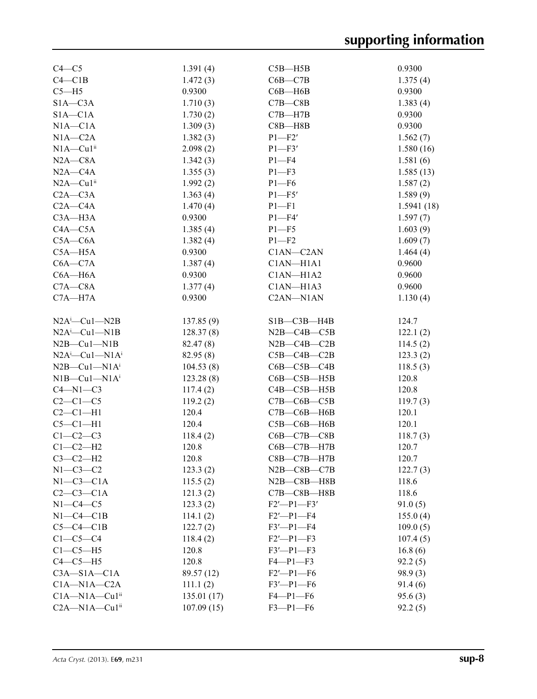| $C4-C5$                                             | 1.391(4)   | $C5B - H5B$           | 0.9300     |
|-----------------------------------------------------|------------|-----------------------|------------|
| $C4 - C1B$                                          | 1.472(3)   | $C6B - C7B$           | 1.375(4)   |
| $C5 - H5$                                           | 0.9300     | $C6B - H6B$           | 0.9300     |
| $S1A - C3A$                                         | 1.710(3)   | $C7B - C8B$           | 1.383(4)   |
| $S1A - C1A$                                         | 1.730(2)   | $C7B - H7B$           | 0.9300     |
| $NIA - C1A$                                         | 1.309(3)   | $C8B - H8B$           | 0.9300     |
| $N1A - C2A$                                         | 1.382(3)   | $P1 - F2'$            | 1.562(7)   |
| $N1A - Cu1$ <sup>ii</sup>                           | 2.098(2)   | $P1 - F3'$            | 1.580(16)  |
| $N2A - C8A$                                         | 1.342(3)   | $P1 - F4$             | 1.581(6)   |
| $N2A - C4A$                                         | 1.355(3)   | $P1 - F3$             | 1.585(13)  |
| $N2A - Cu1$ <sup>ii</sup>                           | 1.992(2)   | $P1 - F6$             | 1.587(2)   |
| $C2A - C3A$                                         | 1.363(4)   | $P1 - F5'$            | 1.589(9)   |
| $C2A - C4A$                                         | 1.470(4)   | $P1 - F1$             | 1.5941(18) |
| $C3A - H3A$                                         | 0.9300     | $P1 - F4'$            | 1.597(7)   |
| $C4A - C5A$                                         | 1.385(4)   | $P1 - F5$             | 1.603(9)   |
| $C5A - C6A$                                         | 1.382(4)   | $P1 - F2$             | 1.609(7)   |
| $C5A - H5A$                                         | 0.9300     | C1AN-C2AN             | 1.464(4)   |
| $C6A - C7A$                                         | 1.387(4)   | C1AN-H1A1             | 0.9600     |
| $C6A - H6A$                                         | 0.9300     | C1AN-H1A2             | 0.9600     |
| $C7A - C8A$                                         | 1.377(4)   | C1AN-H1A3             | 0.9600     |
| $C7A - H7A$                                         | 0.9300     | C2AN-N1AN             | 1.130(4)   |
|                                                     |            |                       |            |
| $N2A^i$ -Cul- $N2B$                                 | 137.85(9)  | $SIB - C3B - H4B$     | 124.7      |
| $N2A^i$ -Cul-N1B                                    | 128.37(8)  | $N2B - C4B - C5B$     | 122.1(2)   |
| $N2B$ — $Cu1$ — $N1B$                               | 82.47 (8)  | $N2B$ — $C4B$ — $C2B$ | 114.5(2)   |
| $N2A^i$ -Cul-N1 $A^i$                               | 82.95(8)   | $C5B - C4B - C2B$     | 123.3(2)   |
| $N2B$ — $Cu1$ — $N1Ai$                              | 104.53(8)  | $C6B - C5B - C4B$     | 118.5(3)   |
| $NIB$ — $Cu1$ — $NIAi$                              | 123.28(8)  | $C6B - C5B - H5B$     | 120.8      |
| $C4-M1-C3$                                          | 117.4(2)   | $C4B - C5B - H5B$     | 120.8      |
| $C2-C1-C5$                                          | 119.2(2)   | $C7B-C6B-C5B$         | 119.7(3)   |
| $C2-C1-H1$                                          | 120.4      | $C7B - C6B - H6B$     | 120.1      |
| $C5-C1-H1$                                          | 120.4      | $C5B-C6B- H6B$        | 120.1      |
| $C1-C2-C3$                                          | 118.4(2)   | $C6B - C7B - C8B$     | 118.7(3)   |
| $C1-C2-H2$                                          | 120.8      | $C6B - C7B - H7B$     | 120.7      |
| $C3-C2-H2$                                          | 120.8      | $C8B - C7B - H7B$     | 120.7      |
| $N1-C3-C2$                                          | 123.3(2)   | $N2B$ — $C8B$ — $C7B$ | 122.7(3)   |
| $N1-C3-C1A$                                         | 115.5(2)   | $N2B - C8B - H8B$     | 118.6      |
| $C2-C3-C1A$                                         | 121.3(2)   | $C7B - C8B - H8B$     | 118.6      |
| $N1-C4-C5$                                          | 123.3(2)   | $F2'$ -P1-F3'         | 91.0(5)    |
| $N1-C4-C1B$                                         | 114.1(2)   | $F2'$ -P1-F4          | 155.0(4)   |
| $C5-C4-C1B$                                         | 122.7(2)   | $F3'$ -P1-F4          | 109.0(5)   |
| $C1-C5-C4$                                          | 118.4(2)   | $F2'$ -P1-F3          | 107.4(5)   |
| $C1-C5-H5$                                          | 120.8      | $F3'$ -P1- $F3$       | 16.8(6)    |
| $C4-C5-H5$                                          | 120.8      | $F4-P1-F3$            | 92.2(5)    |
| $C3A - S1A - C1A$                                   | 89.57 (12) | $F2'$ -P1-F6          | 98.9(3)    |
| $C1A - N1A - C2A$                                   | 111.1(2)   | $F3'$ -P1- $F6$       | 91.4(6)    |
| $C1A-M1A-Cu1ii$                                     | 135.01(17) | $F4-P1-F6$            | 95.6(3)    |
| C <sub>2</sub> A-N <sub>1</sub> A-Cu <sub>1ii</sub> | 107.09(15) | $F3-P1-F6$            | 92.2(5)    |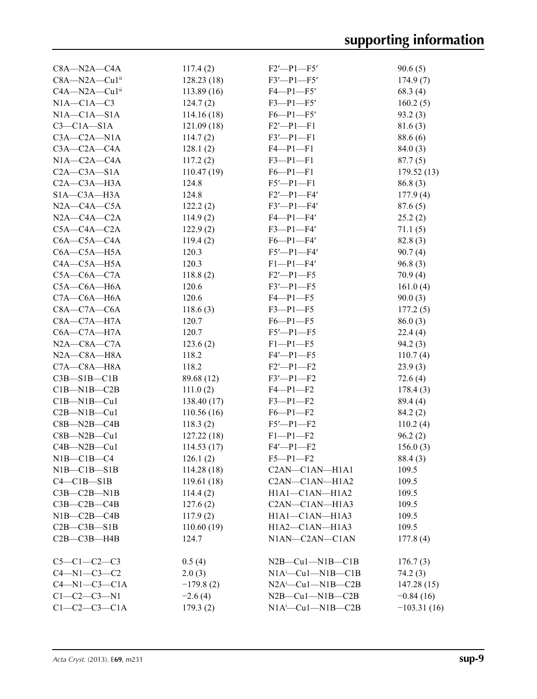| $C8A - N2A - C4A$     | 117.4(2)    | $F2'$ -P1-F5'                   | 90.6(5)       |
|-----------------------|-------------|---------------------------------|---------------|
| C8A-N2A-Cu1ii         | 128.23(18)  | $F3'$ -P1-F5'                   | 174.9(7)      |
| $C4A - N2A - Cu1ii$   | 113.89(16)  | $F4 - P1 - F5'$                 | 68.3(4)       |
| $NIA-C1A-C3$          | 124.7(2)    | $F3 - P1 - F5'$                 | 160.2(5)      |
| $NIA-C1A-S1A$         | 114.16(18)  | $F6 - P1 - F5'$                 | 93.2(3)       |
| $C3-C1A-S1A$          | 121.09(18)  | $F2'$ -P1-F1                    | 81.6(3)       |
| $C3A - C2A - N1A$     | 114.7(2)    | $F3'$ -P1-F1                    | 88.6 (6)      |
| $C3A - C2A - C4A$     | 128.1(2)    | $F4-P1-F1$                      | 84.0(3)       |
| $N1A - C2A - C4A$     | 117.2(2)    | $F3 - P1 - F1$                  | 87.7(5)       |
| $C2A - C3A - S1A$     | 110.47(19)  | $F6 - P1 - F1$                  | 179.52(13)    |
| $C2A - C3A - H3A$     | 124.8       | $F5'$ -P1-F1                    | 86.8(3)       |
| $SIA - C3A - H3A$     | 124.8       | $F2'$ -P1-F4'                   | 177.9(4)      |
| $N2A - C4A - C5A$     | 122.2(2)    | $F3'$ -P1-F4'                   | 87.6(5)       |
| $N2A$ — $C4A$ — $C2A$ | 114.9(2)    | $F4-P1-F4'$                     | 25.2(2)       |
| $C5A - C4A - C2A$     | 122.9(2)    | $F3-P1-F4'$                     | 71.1(5)       |
| $C6A - C5A - C4A$     | 119.4(2)    | $F6-P1-F4'$                     | 82.8(3)       |
| $C6A - C5A - H5A$     | 120.3       | $F5'$ -P1-F4'                   | 90.7(4)       |
| $C4A - C5A - H5A$     | 120.3       | $F1-P1-F4'$                     | 96.8(3)       |
| $C5A-C6A-C7A$         | 118.8(2)    | $F2'$ -P1-F5                    | 70.9(4)       |
| $C5A - C6A - H6A$     | 120.6       | $F3'$ -P1-F5                    | 161.0(4)      |
| $C7A - C6A - H6A$     | 120.6       | $F4-P1-F5$                      | 90.0(3)       |
| $C8A - C7A - C6A$     | 118.6(3)    | $F3 - P1 - F5$                  | 177.2(5)      |
| $C8A - C7A - H7A$     | 120.7       | $F6-P1-F5$                      | 86.0(3)       |
| $C6A - C7A - H7A$     | 120.7       | $F5'$ -P1-F5                    | 22.4(4)       |
| $N2A$ — $C8A$ — $C7A$ | 123.6(2)    | $F1-P1-F5$                      | 94.2(3)       |
| $N2A$ — $C8A$ — $H8A$ | 118.2       | $F4'$ -P1-F5                    | 110.7(4)      |
| $C7A - C8A - H8A$     | 118.2       | $F2'$ -P1-F2                    | 23.9(3)       |
| $C3B-S1B-C1B$         | 89.68 (12)  | $F3'$ -P1-F2                    | 72.6(4)       |
| $C1B-M1B-C2B$         | 111.0(2)    | $F4-P1-F2$                      | 178.4(3)      |
| $C1B-M1B-Cu1$         | 138.40(17)  | $F3-P1-F2$                      | 89.4 (4)      |
| $C2B-M1B-Cu1$         | 110.56(16)  | $F6-P1-F2$                      | 84.2(2)       |
| $C8B - N2B - C4B$     | 118.3(2)    | $F5'$ -P1-F2                    | 110.2(4)      |
| $C8B - N2B - Cu1$     | 127.22(18)  | $F1-P1-F2$                      | 96.2(2)       |
| $C4B - N2B - Cu1$     | 114.53(17)  | $F4'$ -P1-F2                    | 156.0(3)      |
| $N1B-C1B-C4$          | 126.1(2)    | $F5 - P1 - F2$                  | 88.4(3)       |
| NIB—CIB—SIB           | 114.28(18)  | C2AN-C1AN-H1A1                  | 109.5         |
| $C4 - C1B - S1B$      | 119.61(18)  | C2AN-C1AN-H1A2                  | 109.5         |
| $C3B - C2B - N1B$     | 114.4(2)    | H1A1-C1AN-H1A2                  | 109.5         |
| $C3B - C2B - C4B$     | 127.6(2)    | C2AN-C1AN-H1A3                  | 109.5         |
| $N1B-C2B-C4B$         | 117.9(2)    | H1A1-C1AN-H1A3                  | 109.5         |
| $C2B - C3B - S1B$     | 110.60(19)  | $H1A2-C1AN-H1A3$                | 109.5         |
| $C2B - C3B - H4B$     | 124.7       | N1AN-C2AN-C1AN                  | 177.8(4)      |
| $C5-C1-C2-C3$         | 0.5(4)      | $N2B$ — $Cu1$ — $N1B$ — $C1B$   | 176.7(3)      |
| $C4 - N1 - C3 - C2$   | 2.0(3)      | $N1A^i$ -Cu1- $N1B$ -C1B        | 74.2(3)       |
| $C4-M1-C3-C1A$        | $-179.8(2)$ | $N2A^i$ — $Cu1$ — $N1B$ — $C2B$ | 147.28(15)    |
| $C1-C2-C3-N1$         | $-2.6(4)$   | $N2B$ — $Cu1$ — $N1B$ — $C2B$   | $-0.84(16)$   |
| $C1-C2-C3-C1A$        | 179.3(2)    | $NIA^i$ — $Cu1$ — $NIB$ — $C2B$ | $-103.31(16)$ |